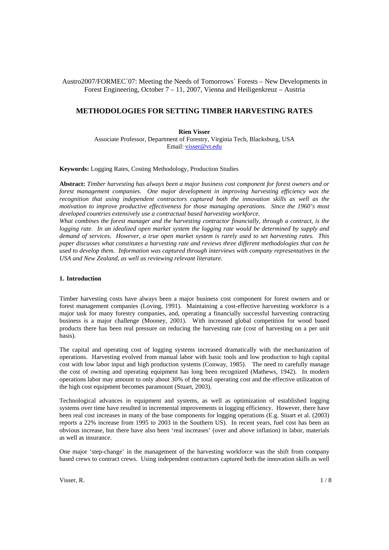## Austro2007/FORMEC´07: Meeting the Needs of Tomorrows´ Forests – New Developments in Forest Engineering, October 7 – 11, 2007, Vienna and Heiligenkreuz – Austria

# **METHODOLOGIES FOR SETTING TIMBER HARVESTING RATES**

**Rien Visser**  Associate Professor, Department of Forestry, Virginia Tech, Blacksburg, USA Email: visser@vt.edu

**Keywords:** Logging Rates, Costing Methodology, Production Studies

**Abstract:** *Timber harvesting has always been a major business cost component for forest owners and or forest management companies. One major development in improving harvesting efficiency was the recognition that using independent contractors captured both the innovation skills as well as the motivation to improve productive effectiveness for those managing operations. Since the 1960's most developed countries extensively use a contractual based harvesting workforce.*

*What combines the forest manager and the harvesting contractor financially, through a contract, is the*  logging rate. In an idealized open market system the logging rate would be determined by supply and *demand of services. However, a true open market system is rarely used to set harvesting rates. This paper discusses what constitutes a harvesting rate and reviews three different methodologies that can be used to develop them. Information was captured through interviews with company representatives in the USA and New Zealand, as well as reviewing relevant literature.* 

### **1. Introduction**

Timber harvesting costs have always been a major business cost component for forest owners and or forest management companies (Loving, 1991). Maintaining a cost-effective harvesting workforce is a major task for many forestry companies, and, operating a financially successful harvesting contracting business is a major challenge (Mooney, 2001). With increased global competition for wood based products there has been real pressure on reducing the harvesting rate (cost of harvesting on a per unit basis).

The capital and operating cost of logging systems increased dramatically with the mechanization of operations. Harvesting evolved from manual labor with basic tools and low production to high capital cost with low labor input and high production systems (Conway, 1985). The need to carefully manage the cost of owning and operating equipment has long been recognized (Mathews, 1942). In modern operations labor may amount to only about 30% of the total operating cost and the effective utilization of the high cost equipment becomes paramount (Stuart, 2003).

Technological advances in equipment and systems, as well as optimization of established logging systems over time have resulted in incremental improvements in logging efficiency. However, there have been real cost increases in many of the base components for logging operations (E.g. Stuart et al. (2003) reports a 22% increase from 1995 to 2003 in the Southern US). In recent years, fuel cost has been an obvious increase, but there have also been 'real increases' (over and above inflation) in labor, materials as well as insurance.

One major 'step-change' in the management of the harvesting workforce was the shift from company based crews to contract crews. Using independent contractors captured both the innovation skills as well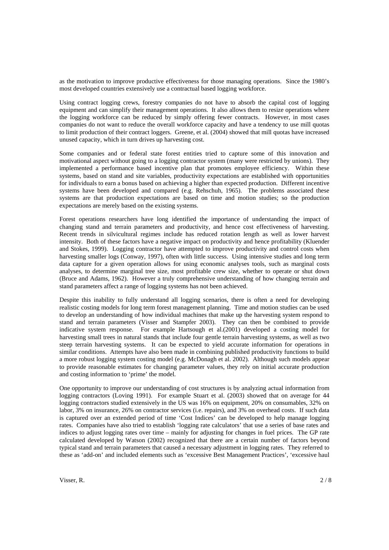as the motivation to improve productive effectiveness for those managing operations. Since the 1980's most developed countries extensively use a contractual based logging workforce.

Using contract logging crews, forestry companies do not have to absorb the capital cost of logging equipment and can simplify their management operations. It also allows them to resize operations where the logging workforce can be reduced by simply offering fewer contracts. However, in most cases companies do not want to reduce the overall workforce capacity and have a tendency to use mill quotas to limit production of their contract loggers. Greene, et al. (2004) showed that mill quotas have increased unused capacity, which in turn drives up harvesting cost.

Some companies and or federal state forest entities tried to capture some of this innovation and motivational aspect without going to a logging contractor system (many were restricted by unions). They implemented a performance based incentive plan that promotes employee efficiency. Within these systems, based on stand and site variables, productivity expectations are established with opportunities for individuals to earn a bonus based on achieving a higher than expected production. Different incentive systems have been developed and compared (e.g. Rehschuh, 1965). The problems associated these systems are that production expectations are based on time and motion studies; so the production expectations are merely based on the existing systems.

Forest operations researchers have long identified the importance of understanding the impact of changing stand and terrain parameters and productivity, and hence cost effectiveness of harvesting. Recent trends in silvicultural regimes include has reduced rotation length as well as lower harvest intensity. Both of these factors have a negative impact on productivity and hence profitability (Kluender and Stokes, 1999). Logging contractor have attempted to improve productivity and control costs when harvesting smaller logs (Conway, 1997), often with little success. Using intensive studies and long term data capture for a given operation allows for using economic analyses tools, such as marginal costs analyses, to determine marginal tree size, most profitable crew size, whether to operate or shut down (Bruce and Adams, 1962). However a truly comprehensive understanding of how changing terrain and stand parameters affect a range of logging systems has not been achieved.

Despite this inability to fully understand all logging scenarios, there is often a need for developing realistic costing models for long term forest management planning. Time and motion studies can be used to develop an understanding of how individual machines that make up the harvesting system respond to stand and terrain parameters (Visser and Stampfer 2003). They can then be combined to provide indicative system response. For example Hartsough et al.(2001) developed a costing model for harvesting small trees in natural stands that include four gentle terrain harvesting systems, as well as two steep terrain harvesting systems. It can be expected to yield accurate information for operations in similar conditions. Attempts have also been made in combining published productivity functions to build a more robust logging system costing model (e.g. McDonagh et al. 2002). Although such models appear to provide reasonable estimates for changing parameter values, they rely on initial accurate production and costing information to 'prime' the model.

One opportunity to improve our understanding of cost structures is by analyzing actual information from logging contractors (Loving 1991). For example Stuart et al. (2003) showed that on average for 44 logging contractors studied extensively in the US was 16% on equipment, 20% on consumables, 32% on labor, 3% on insurance, 26% on contractor services (i.e. repairs), and 3% on overhead costs. If such data is captured over an extended period of time 'Cost Indices' can be developed to help manage logging rates. Companies have also tried to establish 'logging rate calculators' that use a series of base rates and indices to adjust logging rates over time – mainly for adjusting for changes in fuel prices. The GP rate calculated developed by Watson (2002) recognized that there are a certain number of factors beyond typical stand and terrain parameters that caused a necessary adjustment in logging rates. They referred to these as 'add-on' and included elements such as 'excessive Best Management Practices', 'excessive haul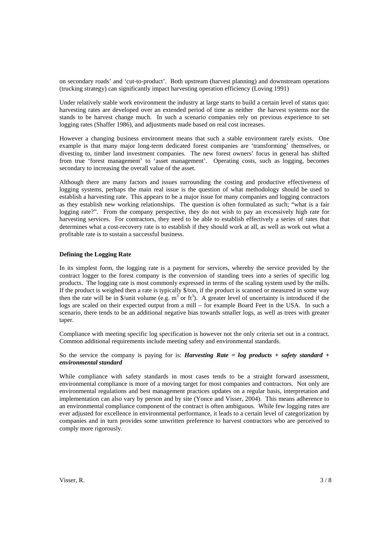on secondary roads' and 'cut-to-product'. Both upstream (harvest planning) and downstream operations (trucking strategy) can significantly impact harvesting operation efficiency (Loving 1991)

Under relatively stable work environment the industry at large starts to build a certain level of status quo: harvesting rates are developed over an extended period of time as neither the harvest systems nor the stands to be harvest change much. In such a scenario companies rely on previous experience to set logging rates (Shaffer 1986), and adjustments made based on real cost increases.

However a changing business environment means that such a stable environment rarely exists. One example is that many major long-term dedicated forest companies are 'transforming' themselves, or divesting to, timber land investment companies. The new forest owners' focus in general has shifted from true 'forest management' to 'asset management'. Operating costs, such as logging, becomes secondary to increasing the overall value of the asset.

Although there are many factors and issues surrounding the costing and productive effectiveness of logging systems, perhaps the main real issue is the question of what methodology should be used to establish a harvesting rate. This appears to be a major issue for many companies and logging contractors as they establish new working relationships. The question is often formulated as such; "what is a fair logging rate?". From the company perspective, they do not wish to pay an excessively high rate for harvesting services. For contractors, they need to be able to establish effectively a series of rates that determines what a cost-recovery rate is to establish if they should work at all, as well as work out what a profitable rate is to sustain a successful business.

#### **Defining the Logging Rate**

In its simplest form, the logging rate is a payment for services, whereby the service provided by the contract logger to the forest company is the conversion of standing trees into a series of specific log products. The logging rate is most commonly expressed in terms of the scaling system used by the mills. If the product is weighed then a rate is typically \$/ton, if the product is scanned or measured in some way then the rate will be in \$/unit volume (e.g.  $m<sup>3</sup>$  or  $ft<sup>3</sup>$ ). A greater level of uncertainty is introduced if the logs are scaled on their expected output from a mill – for example Board Feet in the USA. In such a scenario, there tends to be an additional negative bias towards smaller logs, as well as trees with greater taper.

Compliance with meeting specific log specification is however not the only criteria set out in a contract. Common additional requirements include meeting safety and environmental standards.

### So the service the company is paying for is: *Harvesting Rate = log products + safety standard + environmental standard*

While compliance with safety standards in most cases tends to be a straight forward assessment, environmental compliance is more of a moving target for most companies and contractors. Not only are environmental regulations and best management practices updates on a regular basis, interpretation and implementation can also vary by person and by site (Yonce and Visser, 2004). This means adherence to an environmental compliance component of the contract is often ambiguous. While few logging rates are ever adjusted for excellence in environmental performance, it leads to a certain level of categorization by companies and in turn provides some unwritten preference to harvest contractors who are perceived to comply more rigorously.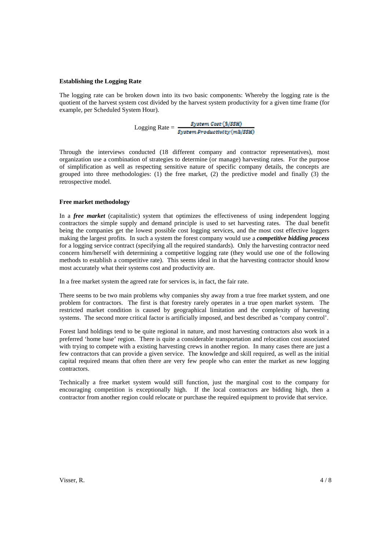### **Establishing the Logging Rate**

The logging rate can be broken down into its two basic components: Whereby the logging rate is the quotient of the harvest system cost divided by the harvest system productivity for a given time frame (for example, per Scheduled System Hour).

 $\text{Logging Rate} = \frac{\textit{System Cost}\left(\frac{S}{S}\textit{SSH}\right)}{\textit{System Productivity}\left(\textit{m3}/\textit{SSH}\right)}$ 

Through the interviews conducted (18 different company and contractor representatives), most organization use a combination of strategies to determine (or manage) harvesting rates. For the purpose of simplification as well as respecting sensitive nature of specific company details, the concepts are grouped into three methodologies: (1) the free market, (2) the predictive model and finally (3) the retrospective model.

#### **Free market methodology**

In a *free market* (capitalistic) system that optimizes the effectiveness of using independent logging contractors the simple supply and demand principle is used to set harvesting rates. The dual benefit being the companies get the lowest possible cost logging services, and the most cost effective loggers making the largest profits. In such a system the forest company would use a *competitive bidding process* for a logging service contract (specifying all the required standards). Only the harvesting contractor need concern him/herself with determining a competitive logging rate (they would use one of the following methods to establish a competitive rate). This seems ideal in that the harvesting contractor should know most accurately what their systems cost and productivity are.

In a free market system the agreed rate for services is, in fact, the fair rate.

There seems to be two main problems why companies shy away from a true free market system, and one problem for contractors. The first is that forestry rarely operates in a true open market system. The restricted market condition is caused by geographical limitation and the complexity of harvesting systems. The second more critical factor is artificially imposed, and best described as 'company control'.

Forest land holdings tend to be quite regional in nature, and most harvesting contractors also work in a preferred 'home base' region. There is quite a considerable transportation and relocation cost associated with trying to compete with a existing harvesting crews in another region. In many cases there are just a few contractors that can provide a given service. The knowledge and skill required, as well as the initial capital required means that often there are very few people who can enter the market as new logging contractors.

Technically a free market system would still function, just the marginal cost to the company for encouraging competition is exceptionally high. If the local contractors are bidding high, then a contractor from another region could relocate or purchase the required equipment to provide that service.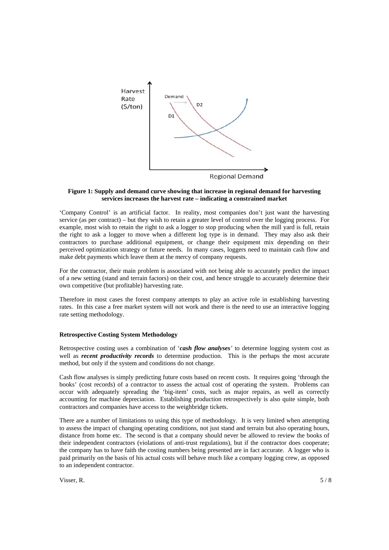

### **Figure 1: Supply and demand curve showing that increase in regional demand for harvesting services increases the harvest rate – indicating a constrained market**

'Company Control' is an artificial factor. In reality, most companies don't just want the harvesting service (as per contract) – but they wish to retain a greater level of control over the logging process. For example, most wish to retain the right to ask a logger to stop producing when the mill yard is full, retain the right to ask a logger to move when a different log type is in demand. They may also ask their contractors to purchase additional equipment, or change their equipment mix depending on their perceived optimization strategy or future needs. In many cases, loggers need to maintain cash flow and make debt payments which leave them at the mercy of company requests.

For the contractor, their main problem is associated with not being able to accurately predict the impact of a new setting (stand and terrain factors) on their cost, and hence struggle to accurately determine their own competitive (but profitable) harvesting rate.

Therefore in most cases the forest company attempts to play an active role in establishing harvesting rates. In this case a free market system will not work and there is the need to use an interactive logging rate setting methodology.

### **Retrospective Costing System Methodology**

Retrospective costing uses a combination of '*cash flow analyses'* to determine logging system cost as well as *recent productivity records* to determine production. This is the perhaps the most accurate method, but only if the system and conditions do not change.

Cash flow analyses is simply predicting future costs based on recent costs. It requires going 'through the books' (cost records) of a contractor to assess the actual cost of operating the system. Problems can occur with adequately spreading the 'big-item' costs, such as major repairs, as well as correctly accounting for machine depreciation. Establishing production retrospectively is also quite simple, both contractors and companies have access to the weighbridge tickets.

There are a number of limitations to using this type of methodology. It is very limited when attempting to assess the impact of changing operating conditions, not just stand and terrain but also operating hours, distance from home etc. The second is that a company should never be allowed to review the books of their independent contractors (violations of anti-trust regulations), but if the contractor does cooperate; the company has to have faith the costing numbers being presented are in fact accurate. A logger who is paid primarily on the basis of his actual costs will behave much like a company logging crew, as opposed to an independent contractor.

Visser, R.  $5/8$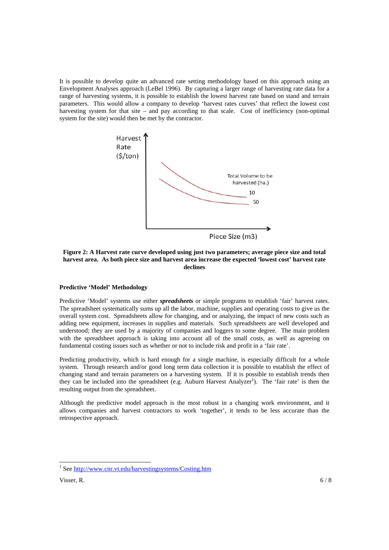It is possible to develop quite an advanced rate setting methodology based on this approach using an Envelopment Analyses approach (LeBel 1996). By capturing a larger range of harvesting rate data for a range of harvesting systems, it is possible to establish the lowest harvest rate based on stand and terrain parameters. This would allow a company to develop 'harvest rates curves' that reflect the lowest cost harvesting system for that site – and pay according to that scale. Cost of inefficiency (non-optimal system for the site) would then be met by the contractor.



**Figure 2: A Harvest rate curve developed using just two parameters; average piece size and total harvest area. As both piece size and harvest area increase the expected 'lowest cost' harvest rate declines**

#### **Predictive 'Model' Methodology**

Predictive 'Model' systems use either *spreadsheets* or simple programs to establish 'fair' harvest rates. The spreadsheet systematically sums up all the labor, machine, supplies and operating costs to give us the overall system cost. Spreadsheets allow for changing, and or analyzing, the impact of new costs such as adding new equipment, increases in supplies and materials. Such spreadsheets are well developed and understood; they are used by a majority of companies and loggers to some degree. The main problem with the spreadsheet approach is taking into account all of the small costs, as well as agreeing on fundamental costing issues such as whether or not to include risk and profit in a 'fair rate'.

Predicting productivity, which is hard enough for a single machine, is especially difficult for a whole system. Through research and/or good long term data collection it is possible to establish the effect of changing stand and terrain parameters on a harvesting system. If it is possible to establish trends then they can be included into the spreadsheet (e.g. Auburn Harvest Analyzer<sup>1</sup>). The 'fair rate' is then the resulting output from the spreadsheet.

Although the predictive model approach is the most robust in a changing work environment, and it allows companies and harvest contractors to work 'together', it tends to be less accurate than the retrospective approach.

l

<sup>&</sup>lt;sup>1</sup> See http://www.cnr.vt.edu/harvestingsystems/Costing.htm

Visser, R.  $6/8$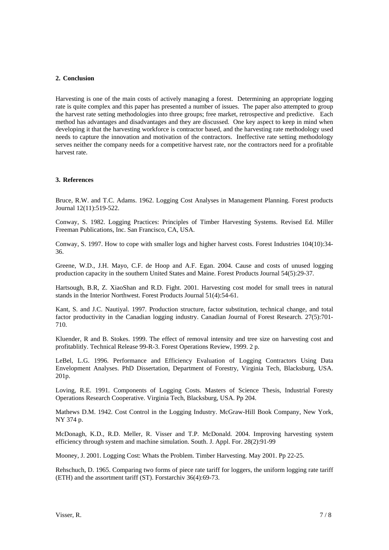## **2. Conclusion**

Harvesting is one of the main costs of actively managing a forest. Determining an appropriate logging rate is quite complex and this paper has presented a number of issues. The paper also attempted to group the harvest rate setting methodologies into three groups; free market, retrospective and predictive. Each method has advantages and disadvantages and they are discussed. One key aspect to keep in mind when developing it that the harvesting workforce is contractor based, and the harvesting rate methodology used needs to capture the innovation and motivation of the contractors. Ineffective rate setting methodology serves neither the company needs for a competitive harvest rate, nor the contractors need for a profitable harvest rate.

### **3. References**

Bruce, R.W. and T.C. Adams. 1962. Logging Cost Analyses in Management Planning. Forest products Journal 12(11):519-522.

Conway, S. 1982. Logging Practices: Principles of Timber Harvesting Systems. Revised Ed. Miller Freeman Publications, Inc. San Francisco, CA, USA.

Conway, S. 1997. How to cope with smaller logs and higher harvest costs. Forest Industries 104(10):34- 36.

Greene, W.D., J.H. Mayo, C.F. de Hoop and A.F. Egan. 2004. Cause and costs of unused logging production capacity in the southern United States and Maine. Forest Products Journal 54(5):29-37.

Hartsough, B.R, Z. XiaoShan and R.D. Fight. 2001. Harvesting cost model for small trees in natural stands in the Interior Northwest. Forest Products Journal 51(4):54-61.

Kant, S. and J.C. Nautiyal. 1997. Production structure, factor substitution, technical change, and total factor productivity in the Canadian logging industry. Canadian Journal of Forest Research. 27(5):701- 710.

Kluender, R and B. Stokes. 1999. The effect of removal intensity and tree size on harvesting cost and profitablitly. Technical Release 99-R-3. Forest Operations Review, 1999. 2 p.

LeBel, L.G. 1996. Performance and Efficiency Evaluation of Logging Contractors Using Data Envelopment Analyses. PhD Dissertation, Department of Forestry, Virginia Tech, Blacksburg, USA. 201p.

Loving, R.E. 1991. Components of Logging Costs. Masters of Science Thesis, Industrial Foresty Operations Research Cooperative. Virginia Tech, Blacksburg, USA. Pp 204.

Mathews D.M. 1942. Cost Control in the Logging Industry. McGraw-Hill Book Company, New York, NY 374 p.

McDonagh, K.D., R.D. Meller, R. Visser and T.P. McDonald. 2004. Improving harvesting system efficiency through system and machine simulation. South. J. Appl. For. 28(2):91-99

Mooney, J. 2001. Logging Cost: Whats the Problem. Timber Harvesting. May 2001. Pp 22-25.

Rehschuch, D. 1965. Comparing two forms of piece rate tariff for loggers, the uniform logging rate tariff (ETH) and the assortment tariff (ST). Forstarchiv 36(4):69-73.